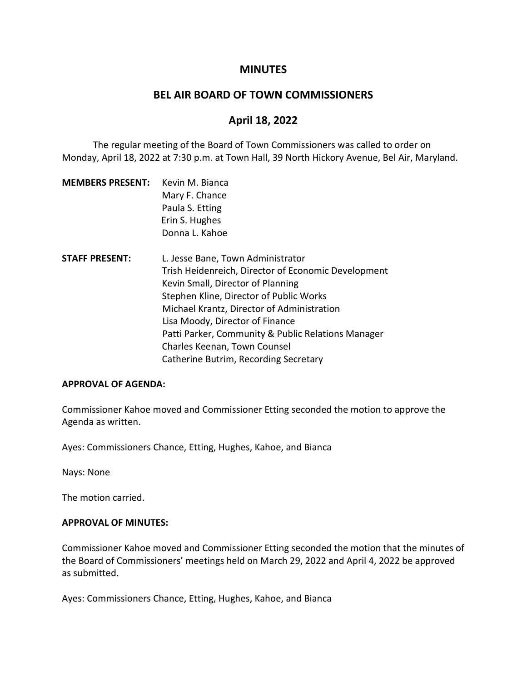## **MINUTES**

## **BEL AIR BOARD OF TOWN COMMISSIONERS**

# **April 18, 2022**

The regular meeting of the Board of Town Commissioners was called to order on Monday, April 18, 2022 at 7:30 p.m. at Town Hall, 39 North Hickory Avenue, Bel Air, Maryland.

| <b>MEMBERS PRESENT:</b> | Kevin M. Bianca<br>Mary F. Chance<br>Paula S. Etting |  |  |
|-------------------------|------------------------------------------------------|--|--|
|                         |                                                      |  |  |
|                         |                                                      |  |  |
|                         | Erin S. Hughes                                       |  |  |
|                         | Donna L. Kahoe                                       |  |  |
| <b>STAFF PRESENT:</b>   | L. Jesse Bane, Town Administrator                    |  |  |
|                         | Trish Heidenreich, Director of Economic Development  |  |  |
|                         | Kevin Small, Director of Planning                    |  |  |
|                         | Stephen Kline, Director of Public Works              |  |  |
|                         | Michael Krantz, Director of Administration           |  |  |
|                         | Lisa Moody, Director of Finance                      |  |  |
|                         | Patti Parker, Community & Public Relations Manager   |  |  |
|                         | Charles Keenan, Town Counsel                         |  |  |
|                         | Catherine Butrim, Recording Secretary                |  |  |

#### **APPROVAL OF AGENDA:**

Commissioner Kahoe moved and Commissioner Etting seconded the motion to approve the Agenda as written.

Ayes: Commissioners Chance, Etting, Hughes, Kahoe, and Bianca

Nays: None

The motion carried.

#### **APPROVAL OF MINUTES:**

Commissioner Kahoe moved and Commissioner Etting seconded the motion that the minutes of the Board of Commissioners' meetings held on March 29, 2022 and April 4, 2022 be approved as submitted.

Ayes: Commissioners Chance, Etting, Hughes, Kahoe, and Bianca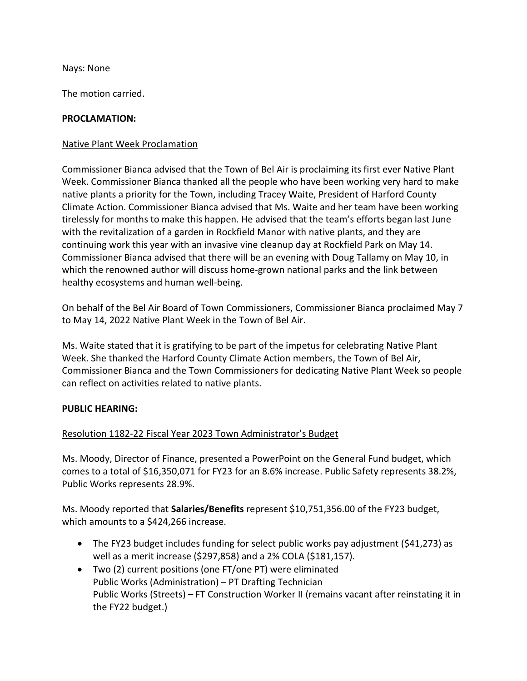Nays: None

The motion carried.

## **PROCLAMATION:**

## Native Plant Week Proclamation

Commissioner Bianca advised that the Town of Bel Air is proclaiming its first ever Native Plant Week. Commissioner Bianca thanked all the people who have been working very hard to make native plants a priority for the Town, including Tracey Waite, President of Harford County Climate Action. Commissioner Bianca advised that Ms. Waite and her team have been working tirelessly for months to make this happen. He advised that the team's efforts began last June with the revitalization of a garden in Rockfield Manor with native plants, and they are continuing work this year with an invasive vine cleanup day at Rockfield Park on May 14. Commissioner Bianca advised that there will be an evening with Doug Tallamy on May 10, in which the renowned author will discuss home-grown national parks and the link between healthy ecosystems and human well-being.

On behalf of the Bel Air Board of Town Commissioners, Commissioner Bianca proclaimed May 7 to May 14, 2022 Native Plant Week in the Town of Bel Air.

Ms. Waite stated that it is gratifying to be part of the impetus for celebrating Native Plant Week. She thanked the Harford County Climate Action members, the Town of Bel Air, Commissioner Bianca and the Town Commissioners for dedicating Native Plant Week so people can reflect on activities related to native plants.

## **PUBLIC HEARING:**

# Resolution 1182-22 Fiscal Year 2023 Town Administrator's Budget

Ms. Moody, Director of Finance, presented a PowerPoint on the General Fund budget, which comes to a total of \$16,350,071 for FY23 for an 8.6% increase. Public Safety represents 38.2%, Public Works represents 28.9%.

Ms. Moody reported that **Salaries/Benefits** represent \$10,751,356.00 of the FY23 budget, which amounts to a \$424,266 increase.

- The FY23 budget includes funding for select public works pay adjustment (\$41,273) as well as a merit increase (\$297,858) and a 2% COLA (\$181,157).
- Two (2) current positions (one FT/one PT) were eliminated Public Works (Administration) – PT Drafting Technician Public Works (Streets) – FT Construction Worker II (remains vacant after reinstating it in the FY22 budget.)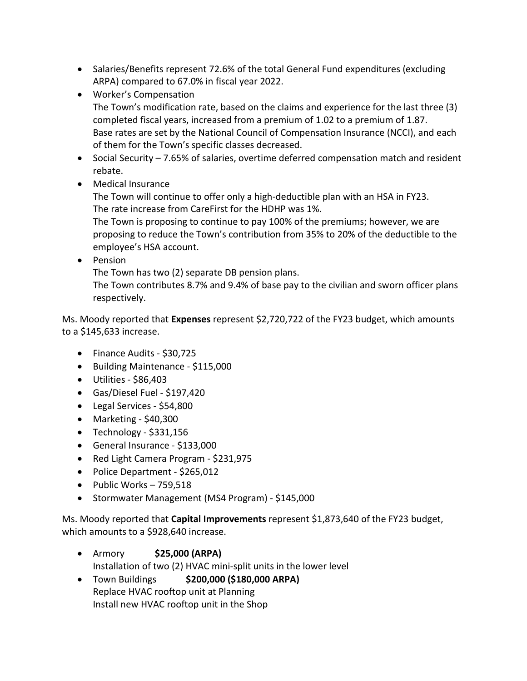- Salaries/Benefits represent 72.6% of the total General Fund expenditures (excluding ARPA) compared to 67.0% in fiscal year 2022.
- Worker's Compensation The Town's modification rate, based on the claims and experience for the last three (3) completed fiscal years, increased from a premium of 1.02 to a premium of 1.87. Base rates are set by the National Council of Compensation Insurance (NCCI), and each of them for the Town's specific classes decreased.
- Social Security 7.65% of salaries, overtime deferred compensation match and resident rebate.
- Medical Insurance

The Town will continue to offer only a high-deductible plan with an HSA in FY23. The rate increase from CareFirst for the HDHP was 1%.

The Town is proposing to continue to pay 100% of the premiums; however, we are proposing to reduce the Town's contribution from 35% to 20% of the deductible to the employee's HSA account.

• Pension

The Town has two (2) separate DB pension plans.

The Town contributes 8.7% and 9.4% of base pay to the civilian and sworn officer plans respectively.

Ms. Moody reported that **Expenses** represent \$2,720,722 of the FY23 budget, which amounts to a \$145,633 increase.

- Finance Audits \$30,725
- Building Maintenance \$115,000
- Utilities \$86,403
- Gas/Diesel Fuel \$197,420
- Legal Services \$54,800
- Marketing \$40,300
- $\bullet$  Technology \$331,156
- General Insurance \$133,000
- Red Light Camera Program \$231,975
- Police Department \$265,012
- Public Works 759,518
- Stormwater Management (MS4 Program) \$145,000

Ms. Moody reported that **Capital Improvements** represent \$1,873,640 of the FY23 budget, which amounts to a \$928,640 increase.

- Armory **\$25,000 (ARPA)** Installation of two (2) HVAC mini-split units in the lower level
- Town Buildings **\$200,000 (\$180,000 ARPA)** Replace HVAC rooftop unit at Planning Install new HVAC rooftop unit in the Shop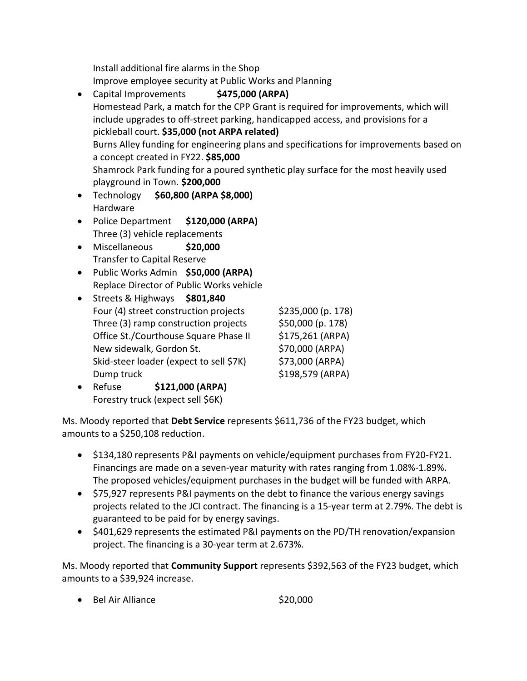Install additional fire alarms in the Shop Improve employee security at Public Works and Planning

- Capital Improvements **\$475,000 (ARPA)** Homestead Park, a match for the CPP Grant is required for improvements, which will include upgrades to off-street parking, handicapped access, and provisions for a pickleball court. **\$35,000 (not ARPA related)** Burns Alley funding for engineering plans and specifications for improvements based on a concept created in FY22. **\$85,000** Shamrock Park funding for a poured synthetic play surface for the most heavily used playground in Town. **\$200,000**
- Technology **\$60,800 (ARPA \$8,000)** Hardware
- Police Department **\$120,000 (ARPA)** Three (3) vehicle replacements
- Miscellaneous **\$20,000** Transfer to Capital Reserve
- Public Works Admin **\$50,000 (ARPA)** Replace Director of Public Works vehicle
- Streets & Highways **\$801,840** Four (4) street construction projects  $$235,000$  (p. 178) Three  $(3)$  ramp construction projects  $$50,000$  (p. 178) Office St./Courthouse Square Phase II \$175,261 (ARPA) New sidewalk, Gordon St. \$70,000 (ARPA) Skid-steer loader (expect to sell \$7K) \$73,000 (ARPA) Dump truck \$198,579 (ARPA)

• Refuse **\$121,000 (ARPA)** Forestry truck (expect sell \$6K)

Ms. Moody reported that **Debt Service** represents \$611,736 of the FY23 budget, which amounts to a \$250,108 reduction.

- \$134,180 represents P&I payments on vehicle/equipment purchases from FY20-FY21. Financings are made on a seven-year maturity with rates ranging from 1.08%-1.89%. The proposed vehicles/equipment purchases in the budget will be funded with ARPA.
- \$75,927 represents P&I payments on the debt to finance the various energy savings projects related to the JCI contract. The financing is a 15-year term at 2.79%. The debt is guaranteed to be paid for by energy savings.
- \$401,629 represents the estimated P&I payments on the PD/TH renovation/expansion project. The financing is a 30-year term at 2.673%.

Ms. Moody reported that **Community Support** represents \$392,563 of the FY23 budget, which amounts to a \$39,924 increase.

• Bel Air Alliance \$20,000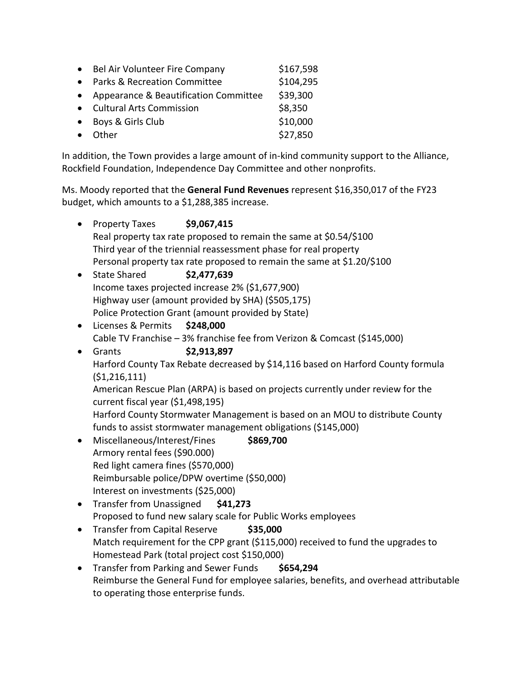|           | Bel Air Volunteer Fire Company          | \$167,598 |
|-----------|-----------------------------------------|-----------|
|           | <b>Parks &amp; Recreation Committee</b> | \$104,295 |
| $\bullet$ | Appearance & Beautification Committee   | \$39,300  |
| $\bullet$ | <b>Cultural Arts Commission</b>         | \$8,350   |
| $\bullet$ | Boys & Girls Club                       | \$10,000  |
|           | Other                                   | \$27,850  |

In addition, the Town provides a large amount of in-kind community support to the Alliance, Rockfield Foundation, Independence Day Committee and other nonprofits.

Ms. Moody reported that the **General Fund Revenues** represent \$16,350,017 of the FY23 budget, which amounts to a \$1,288,385 increase.

| $\bullet$                                                              | <b>Property Taxes</b>                                                                             | \$9,067,415                                                              |                                                               |  |  |
|------------------------------------------------------------------------|---------------------------------------------------------------------------------------------------|--------------------------------------------------------------------------|---------------------------------------------------------------|--|--|
| Real property tax rate proposed to remain the same at \$0.54/\$100     |                                                                                                   |                                                                          |                                                               |  |  |
|                                                                        | Third year of the triennial reassessment phase for real property                                  |                                                                          |                                                               |  |  |
| Personal property tax rate proposed to remain the same at \$1.20/\$100 |                                                                                                   |                                                                          |                                                               |  |  |
| $\bullet$                                                              | <b>State Shared</b>                                                                               | \$2,477,639                                                              |                                                               |  |  |
| Income taxes projected increase 2% (\$1,677,900)                       |                                                                                                   |                                                                          |                                                               |  |  |
|                                                                        | Highway user (amount provided by SHA) (\$505,175)                                                 |                                                                          |                                                               |  |  |
| Police Protection Grant (amount provided by State)                     |                                                                                                   |                                                                          |                                                               |  |  |
| $\bullet$                                                              | Licenses & Permits                                                                                | \$248,000                                                                |                                                               |  |  |
|                                                                        |                                                                                                   | Cable TV Franchise - 3% franchise fee from Verizon & Comcast (\$145,000) |                                                               |  |  |
| $\bullet$                                                              | Grants                                                                                            | \$2,913,897                                                              |                                                               |  |  |
|                                                                        | Harford County Tax Rebate decreased by \$14,116 based on Harford County formula<br>(51, 216, 111) |                                                                          |                                                               |  |  |
|                                                                        |                                                                                                   |                                                                          |                                                               |  |  |
|                                                                        | American Rescue Plan (ARPA) is based on projects currently under review for the                   |                                                                          |                                                               |  |  |
|                                                                        | current fiscal year (\$1,498,195)                                                                 |                                                                          |                                                               |  |  |
|                                                                        | Harford County Stormwater Management is based on an MOU to distribute County                      |                                                                          |                                                               |  |  |
|                                                                        |                                                                                                   |                                                                          | funds to assist stormwater management obligations (\$145,000) |  |  |
| $\bullet$                                                              | Miscellaneous/Interest/Fines                                                                      |                                                                          | \$869,700                                                     |  |  |
|                                                                        | Armory rental fees (\$90.000)                                                                     |                                                                          |                                                               |  |  |
| Red light camera fines (\$570,000)                                     |                                                                                                   |                                                                          |                                                               |  |  |
| Reimbursable police/DPW overtime (\$50,000)                            |                                                                                                   |                                                                          |                                                               |  |  |
|                                                                        | Interest on investments (\$25,000)                                                                |                                                                          |                                                               |  |  |
| $\bullet$                                                              | <b>Transfer from Unassigned</b>                                                                   |                                                                          | \$41,273                                                      |  |  |
| Proposed to fund new salary scale for Public Works employees           |                                                                                                   |                                                                          |                                                               |  |  |

- Transfer from Capital Reserve **\$35,000** Match requirement for the CPP grant (\$115,000) received to fund the upgrades to Homestead Park (total project cost \$150,000)
- Transfer from Parking and Sewer Funds **\$654,294** Reimburse the General Fund for employee salaries, benefits, and overhead attributable to operating those enterprise funds.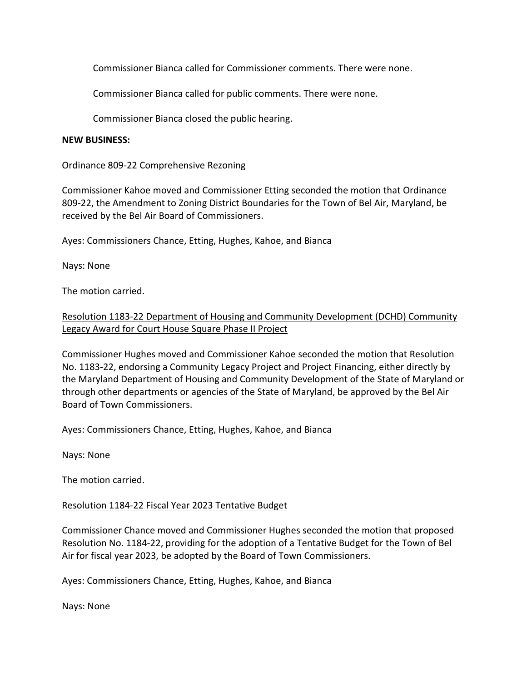Commissioner Bianca called for Commissioner comments. There were none.

Commissioner Bianca called for public comments. There were none.

Commissioner Bianca closed the public hearing.

### **NEW BUSINESS:**

### Ordinance 809-22 Comprehensive Rezoning

Commissioner Kahoe moved and Commissioner Etting seconded the motion that Ordinance 809-22, the Amendment to Zoning District Boundaries for the Town of Bel Air, Maryland, be received by the Bel Air Board of Commissioners.

Ayes: Commissioners Chance, Etting, Hughes, Kahoe, and Bianca

Nays: None

The motion carried.

# Resolution 1183-22 Department of Housing and Community Development (DCHD) Community Legacy Award for Court House Square Phase II Project

Commissioner Hughes moved and Commissioner Kahoe seconded the motion that Resolution No. 1183-22, endorsing a Community Legacy Project and Project Financing, either directly by the Maryland Department of Housing and Community Development of the State of Maryland or through other departments or agencies of the State of Maryland, be approved by the Bel Air Board of Town Commissioners.

Ayes: Commissioners Chance, Etting, Hughes, Kahoe, and Bianca

Nays: None

The motion carried.

## Resolution 1184-22 Fiscal Year 2023 Tentative Budget

Commissioner Chance moved and Commissioner Hughes seconded the motion that proposed Resolution No. 1184-22, providing for the adoption of a Tentative Budget for the Town of Bel Air for fiscal year 2023, be adopted by the Board of Town Commissioners.

Ayes: Commissioners Chance, Etting, Hughes, Kahoe, and Bianca

Nays: None